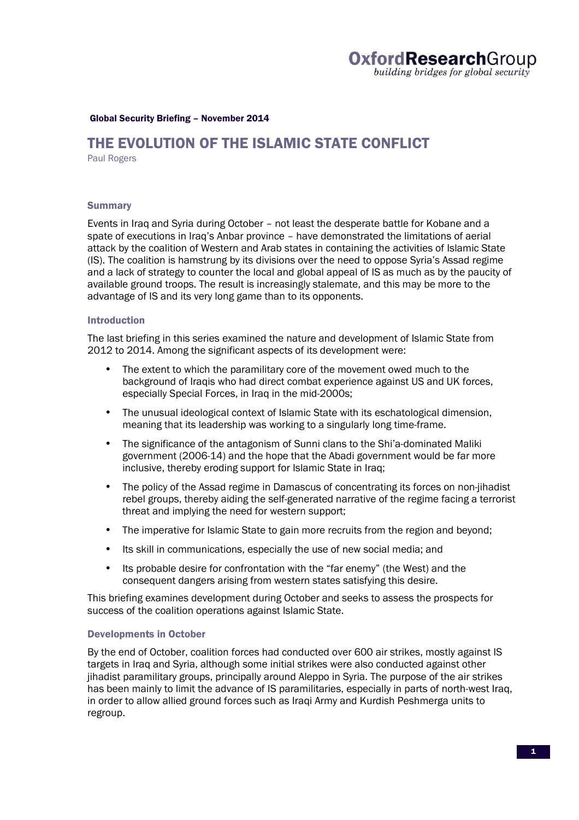### Global Security Briefing – November 2014

# THE EVOLUTION OF THE ISLAMIC STATE CONFLICT

Paul Rogers

## **Summary**

Events in Iraq and Syria during October – not least the desperate battle for Kobane and a spate of executions in Iraq's Anbar province – have demonstrated the limitations of aerial attack by the coalition of Western and Arab states in containing the activities of Islamic State (IS). The coalition is hamstrung by its divisions over the need to oppose Syria's Assad regime and a lack of strategy to counter the local and global appeal of IS as much as by the paucity of available ground troops. The result is increasingly stalemate, and this may be more to the advantage of IS and its very long game than to its opponents.

## Introduction

The last briefing in this series examined the nature and development of Islamic State from 2012 to 2014. Among the significant aspects of its development were:

- The extent to which the paramilitary core of the movement owed much to the background of Iraqis who had direct combat experience against US and UK forces, especially Special Forces, in Iraq in the mid-2000s;
- The unusual ideological context of Islamic State with its eschatological dimension, meaning that its leadership was working to a singularly long time-frame.
- The significance of the antagonism of Sunni clans to the Shi'a-dominated Maliki government (2006-14) and the hope that the Abadi government would be far more inclusive, thereby eroding support for Islamic State in Iraq;
- The policy of the Assad regime in Damascus of concentrating its forces on non-jihadist rebel groups, thereby aiding the self-generated narrative of the regime facing a terrorist threat and implying the need for western support;
- The imperative for Islamic State to gain more recruits from the region and beyond:
- Its skill in communications, especially the use of new social media; and
- Its probable desire for confrontation with the "far enemy" (the West) and the consequent dangers arising from western states satisfying this desire.

This briefing examines development during October and seeks to assess the prospects for success of the coalition operations against Islamic State.

# Developments in October

By the end of October, coalition forces had conducted over 600 air strikes, mostly against IS targets in Iraq and Syria, although some initial strikes were also conducted against other jihadist paramilitary groups, principally around Aleppo in Syria. The purpose of the air strikes has been mainly to limit the advance of IS paramilitaries, especially in parts of north-west Iraq, in order to allow allied ground forces such as Iraqi Army and Kurdish Peshmerga units to regroup.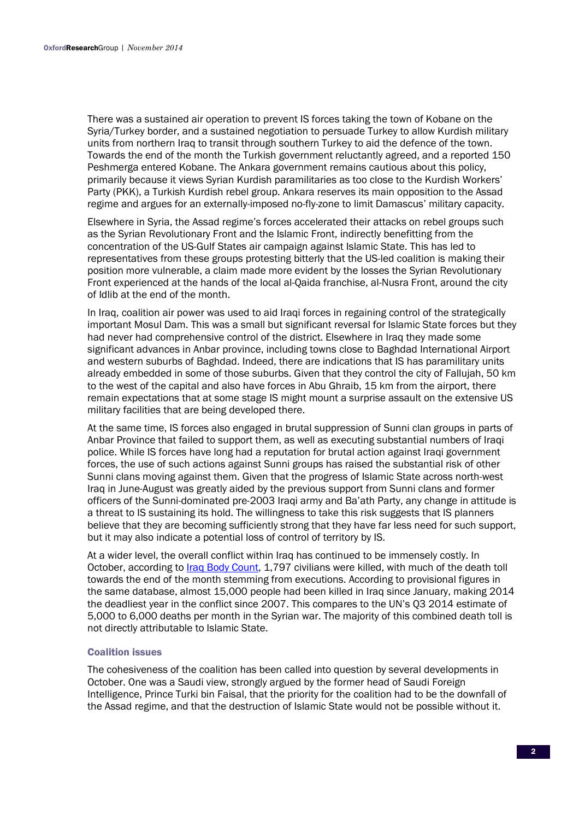There was a sustained air operation to prevent IS forces taking the town of Kobane on the Syria/Turkey border, and a sustained negotiation to persuade Turkey to allow Kurdish military units from northern Iraq to transit through southern Turkey to aid the defence of the town. Towards the end of the month the Turkish government reluctantly agreed, and a reported 150 Peshmerga entered Kobane. The Ankara government remains cautious about this policy, primarily because it views Syrian Kurdish paramilitaries as too close to the Kurdish Workers' Party (PKK), a Turkish Kurdish rebel group. Ankara reserves its main opposition to the Assad regime and argues for an externally-imposed no-fly-zone to limit Damascus' military capacity.

Elsewhere in Syria, the Assad regime's forces accelerated their attacks on rebel groups such as the Syrian Revolutionary Front and the Islamic Front, indirectly benefitting from the concentration of the US-Gulf States air campaign against Islamic State. This has led to representatives from these groups protesting bitterly that the US-led coalition is making their position more vulnerable, a claim made more evident by the losses the Syrian Revolutionary Front experienced at the hands of the local al-Qaida franchise, al-Nusra Front, around the city of Idlib at the end of the month.

In Iraq, coalition air power was used to aid Iraqi forces in regaining control of the strategically important Mosul Dam. This was a small but significant reversal for Islamic State forces but they had never had comprehensive control of the district. Elsewhere in Iraq they made some significant advances in Anbar province, including towns close to Baghdad International Airport and western suburbs of Baghdad. Indeed, there are indications that IS has paramilitary units already embedded in some of those suburbs. Given that they control the city of Fallujah, 50 km to the west of the capital and also have forces in Abu Ghraib, 15 km from the airport, there remain expectations that at some stage IS might mount a surprise assault on the extensive US military facilities that are being developed there.

At the same time, IS forces also engaged in brutal suppression of Sunni clan groups in parts of Anbar Province that failed to support them, as well as executing substantial numbers of Iraqi police. While IS forces have long had a reputation for brutal action against Iraqi government forces, the use of such actions against Sunni groups has raised the substantial risk of other Sunni clans moving against them. Given that the progress of Islamic State across north-west Iraq in June-August was greatly aided by the previous support from Sunni clans and former officers of the Sunni-dominated pre-2003 Iraqi army and Ba'ath Party, any change in attitude is a threat to IS sustaining its hold. The willingness to take this risk suggests that IS planners believe that they are becoming sufficiently strong that they have far less need for such support, but it may also indicate a potential loss of control of territory by IS.

At a wider level, the overall conflict within Iraq has continued to be immensely costly. In October, according to *Iraq Body Count*, 1,797 civilians were killed, with much of the death toll towards the end of the month stemming from executions. According to provisional figures in the same database, almost 15,000 people had been killed in Iraq since January, making 2014 the deadliest year in the conflict since 2007. This compares to the UN's Q3 2014 estimate of 5,000 to 6,000 deaths per month in the Syrian war. The majority of this combined death toll is not directly attributable to Islamic State.

## Coalition issues

The cohesiveness of the coalition has been called into question by several developments in October. One was a Saudi view, strongly argued by the former head of Saudi Foreign Intelligence, Prince Turki bin Faisal, that the priority for the coalition had to be the downfall of the Assad regime, and that the destruction of Islamic State would not be possible without it.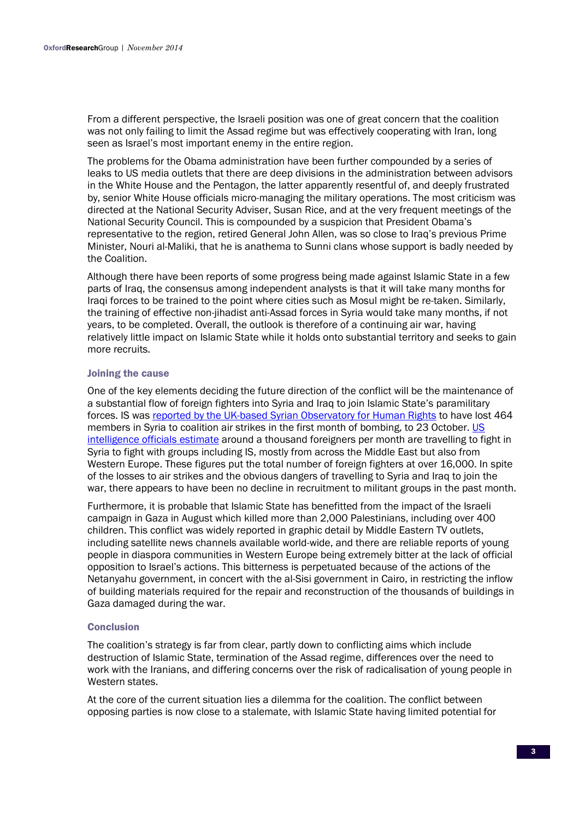From a different perspective, the Israeli position was one of great concern that the coalition was not only failing to limit the Assad regime but was effectively cooperating with Iran, long seen as Israel's most important enemy in the entire region.

The problems for the Obama administration have been further compounded by a series of leaks to US media outlets that there are deep divisions in the administration between advisors in the White House and the Pentagon, the latter apparently resentful of, and deeply frustrated by, senior White House officials micro-managing the military operations. The most criticism was directed at the National Security Adviser, Susan Rice, and at the very frequent meetings of the National Security Council. This is compounded by a suspicion that President Obama's representative to the region, retired General John Allen, was so close to Iraq's previous Prime Minister, Nouri al-Maliki, that he is anathema to Sunni clans whose support is badly needed by the Coalition.

Although there have been reports of some progress being made against Islamic State in a few parts of Iraq, the consensus among independent analysts is that it will take many months for Iraqi forces to be trained to the point where cities such as Mosul might be re-taken. Similarly, the training of effective non-jihadist anti-Assad forces in Syria would take many months, if not years, to be completed. Overall, the outlook is therefore of a continuing air war, having relatively little impact on Islamic State while it holds onto substantial territory and seeks to gain more recruits.

### Joining the cause

One of the key elements deciding the future direction of the conflict will be the maintenance of a substantial flow of foreign fighters into Syria and Iraq to join Islamic State's paramilitary forces. IS was reported by the UK-based Syrian Observatory for Human Rights to have lost 464 members in Syria to coalition air strikes in the first month of bombing, to 23 October. US intelligence officials estimate around a thousand foreigners per month are travelling to fight in Syria to fight with groups including IS, mostly from across the Middle East but also from Western Europe. These figures put the total number of foreign fighters at over 16,000. In spite of the losses to air strikes and the obvious dangers of travelling to Syria and Iraq to join the war, there appears to have been no decline in recruitment to militant groups in the past month.

Furthermore, it is probable that Islamic State has benefitted from the impact of the Israeli campaign in Gaza in August which killed more than 2,000 Palestinians, including over 400 children. This conflict was widely reported in graphic detail by Middle Eastern TV outlets, including satellite news channels available world-wide, and there are reliable reports of young people in diaspora communities in Western Europe being extremely bitter at the lack of official opposition to Israel's actions. This bitterness is perpetuated because of the actions of the Netanyahu government, in concert with the al-Sisi government in Cairo, in restricting the inflow of building materials required for the repair and reconstruction of the thousands of buildings in Gaza damaged during the war.

## **Conclusion**

The coalition's strategy is far from clear, partly down to conflicting aims which include destruction of Islamic State, termination of the Assad regime, differences over the need to work with the Iranians, and differing concerns over the risk of radicalisation of young people in Western states

At the core of the current situation lies a dilemma for the coalition. The conflict between opposing parties is now close to a stalemate, with Islamic State having limited potential for